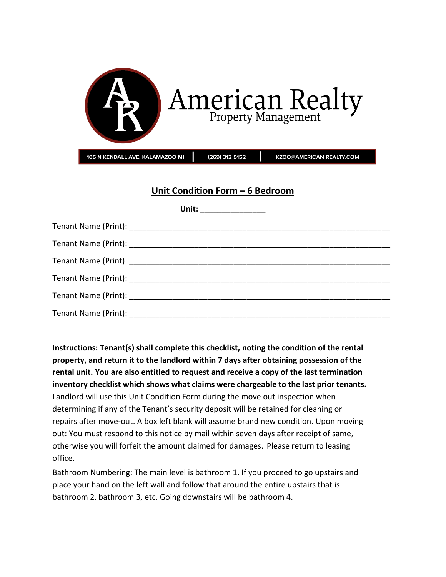| American Realty                                                               |  |  |
|-------------------------------------------------------------------------------|--|--|
| 105 N KENDALL AVE, KALAMAZOO MI<br>(269) 312-5152<br>KZOO@AMERICAN-REALTY.COM |  |  |
| Unit Condition Form - 6 Bedroom<br>Unit:                                      |  |  |

**Instructions: Tenant(s) shall complete this checklist, noting the condition of the rental property, and return it to the landlord within 7 days after obtaining possession of the rental unit. You are also entitled to request and receive a copy of the last termination inventory checklist which shows what claims were chargeable to the last prior tenants.** Landlord will use this Unit Condition Form during the move out inspection when determining if any of the Tenant's security deposit will be retained for cleaning or repairs after move-out. A box left blank will assume brand new condition. Upon moving out: You must respond to this notice by mail within seven days after receipt of same, otherwise you will forfeit the amount claimed for damages. Please return to leasing office.

Bathroom Numbering: The main level is bathroom 1. If you proceed to go upstairs and place your hand on the left wall and follow that around the entire upstairs that is bathroom 2, bathroom 3, etc. Going downstairs will be bathroom 4.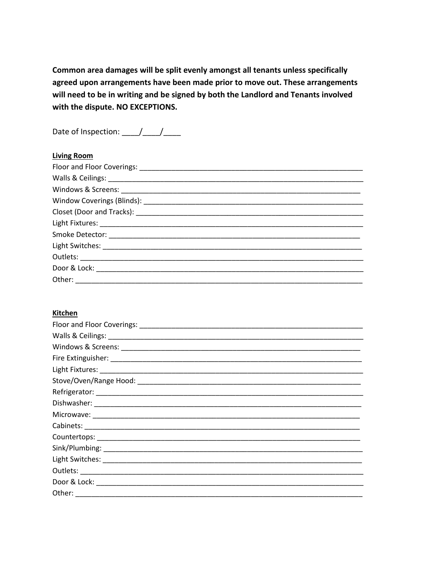Common area damages will be split evenly amongst all tenants unless specifically agreed upon arrangements have been made prior to move out. These arrangements will need to be in writing and be signed by both the Landlord and Tenants involved with the dispute. NO EXCEPTIONS.

| <b>Living Room</b> |
|--------------------|
|                    |
|                    |
|                    |
|                    |
|                    |
|                    |
|                    |
|                    |
|                    |
|                    |
|                    |

#### Kitchen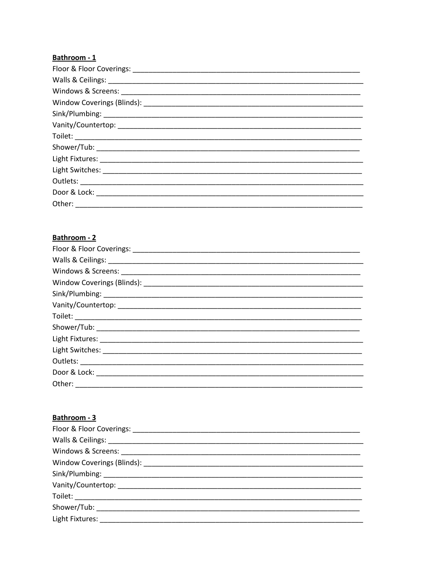## Bathroom - 1

## Bathroom - 2

| Other: |
|--------|

### Bathroom - 3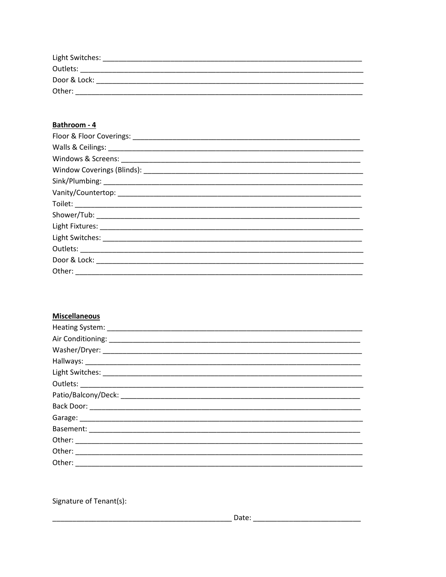| Light Switches: |  |
|-----------------|--|
| Outlets:        |  |
| Door & Lock:    |  |
| Other:          |  |

### Bathroom - 4

| Other: _______________ |
|------------------------|

# **Miscellaneous**

Signature of Tenant(s):